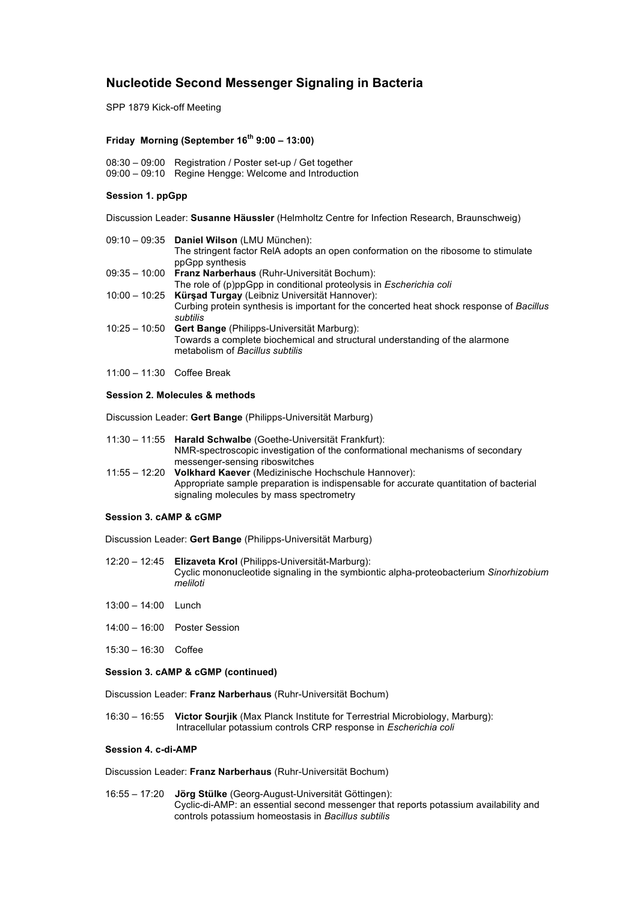# **Nucleotide Second Messenger Signaling in Bacteria**

SPP 1879 Kick-off Meeting

## **Friday Morning (September 16th 9:00 – 13:00)**

08:30 – 09:00 Registration / Poster set-up / Get together

09:00 – 09:10 Regine Hengge: Welcome and Introduction

#### **Session 1. ppGpp**

Discussion Leader: **Susanne Häussler** (Helmholtz Centre for Infection Research, Braunschweig)

|  | 09:10 - 09:35 Daniel Wilson (LMU München):                                                                     |
|--|----------------------------------------------------------------------------------------------------------------|
|  | The stringent factor ReIA adopts an open conformation on the ribosome to stimulate<br>ppGpp synthesis          |
|  | 09:35 - 10:00 Franz Narberhaus (Ruhr-Universität Bochum):                                                      |
|  | The role of (p)ppGpp in conditional proteolysis in <i>Escherichia coli</i>                                     |
|  | 10:00 - 10:25 Kürşad Turgay (Leibniz Universität Hannover):                                                    |
|  | Curbing protein synthesis is important for the concerted heat shock response of Bacillus<br>subtilis           |
|  | 10:25 - 10:50 Gert Bange (Philipps-Universität Marburg):                                                       |
|  | Towards a complete biochemical and structural understanding of the alarmone<br>metabolism of Bacillus subtilis |
|  |                                                                                                                |

11:00 – 11:30 Coffee Break

#### **Session 2. Molecules & methods**

Discussion Leader: **Gert Bange** (Philipps-Universität Marburg)

11:30 – 11:55 **Harald Schwalbe** (Goethe-Universität Frankfurt): NMR-spectroscopic investigation of the conformational mechanisms of secondary messenger-sensing riboswitches 11:55 – 12:20 **Volkhard Kaever** (Medizinische Hochschule Hannover): Appropriate sample preparation is indispensable for accurate quantitation of bacterial

#### **Session 3. cAMP & cGMP**

Discussion Leader: **Gert Bange** (Philipps-Universität Marburg)

signaling molecules by mass spectrometry

- 12:20 12:45 **Elizaveta Krol** (Philipps-Universität-Marburg): Cyclic mononucleotide signaling in the symbiontic alpha-proteobacterium *Sinorhizobium meliloti*
- 13:00 14:00 Lunch
- 14:00 16:00 Poster Session

15:30 – 16:30 Coffee

### **Session 3. cAMP & cGMP (continued)**

Discussion Leader: **Franz Narberhaus** (Ruhr-Universität Bochum)

 16:30 – 16:55 **Victor Sourjik** (Max Planck Institute for Terrestrial Microbiology, Marburg): Intracellular potassium controls CRP response in *Escherichia coli*

### **Session 4. c-di-AMP**

Discussion Leader: **Franz Narberhaus** (Ruhr-Universität Bochum)

 16:55 – 17:20 **Jörg Stülke** (Georg-August-Universität Göttingen): Cyclic-di-AMP: an essential second messenger that reports potassium availability and controls potassium homeostasis in *Bacillus subtilis*